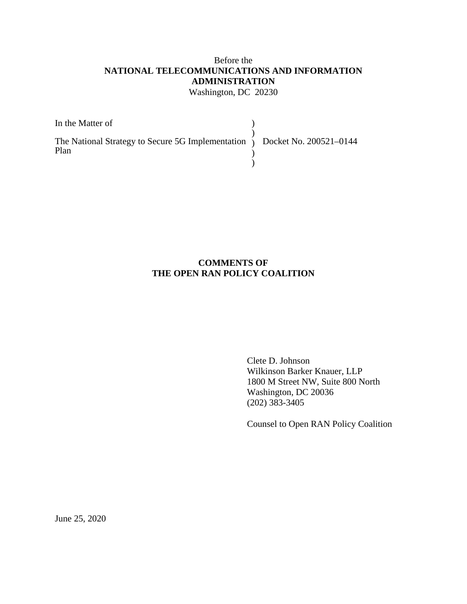# Before the **NATIONAL TELECOMMUNICATIONS AND INFORMATION ADMINISTRATION** Washington, DC 20230

| In the Matter of                                                                        |  |
|-----------------------------------------------------------------------------------------|--|
| The National Strategy to Secure 5G Implementation $\int$ Docket No. 200521-0144<br>Plan |  |
|                                                                                         |  |

# **COMMENTS OF THE OPEN RAN POLICY COALITION**

Clete D. Johnson Wilkinson Barker Knauer, LLP 1800 M Street NW, Suite 800 North Washington, DC 20036 (202) 383-3405

Counsel to Open RAN Policy Coalition

June 25, 2020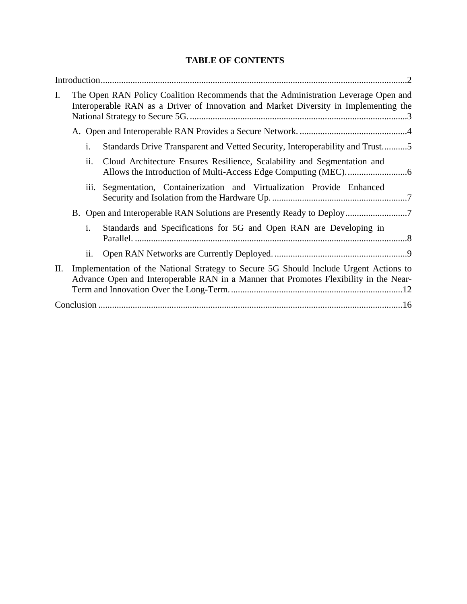# **TABLE OF CONTENTS**

| I. |    |     | The Open RAN Policy Coalition Recommends that the Administration Leverage Open and<br>Interoperable RAN as a Driver of Innovation and Market Diversity in Implementing the     |
|----|----|-----|--------------------------------------------------------------------------------------------------------------------------------------------------------------------------------|
|    |    |     |                                                                                                                                                                                |
|    | i. |     | Standards Drive Transparent and Vetted Security, Interoperability and Trust5                                                                                                   |
|    |    | ii. | Cloud Architecture Ensures Resilience, Scalability and Segmentation and                                                                                                        |
|    |    |     | iii. Segmentation, Containerization and Virtualization Provide Enhanced                                                                                                        |
|    |    |     | B. Open and Interoperable RAN Solutions are Presently Ready to Deploy7                                                                                                         |
|    | i. |     | Standards and Specifications for 5G and Open RAN are Developing in                                                                                                             |
|    |    | ii. |                                                                                                                                                                                |
| П. |    |     | Implementation of the National Strategy to Secure 5G Should Include Urgent Actions to<br>Advance Open and Interoperable RAN in a Manner that Promotes Flexibility in the Near- |
|    |    |     |                                                                                                                                                                                |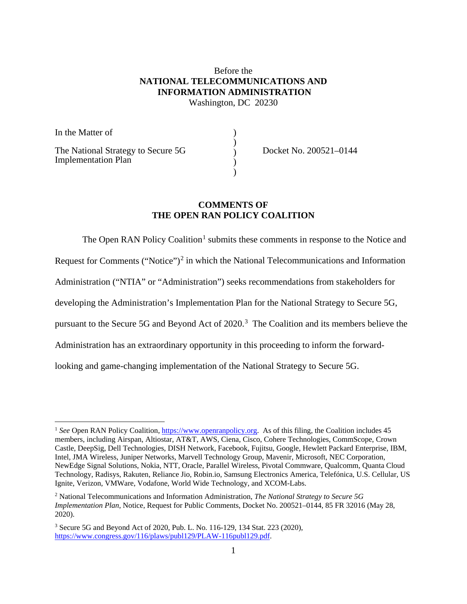### Before the **NATIONAL TELECOMMUNICATIONS AND INFORMATION ADMINISTRATION** Washington, DC 20230

) )

> ) )

In the Matter of The National Strategy to Secure 5G Implementation Plan )

Docket No. 200521–0144

#### **COMMENTS OF THE OPEN RAN POLICY COALITION**

The Open RAN Policy Coalition<sup>[1](#page-2-0)</sup> submits these comments in response to the Notice and Request for Comments ("Notice")<sup>[2](#page-2-1)</sup> in which the National Telecommunications and Information Administration ("NTIA" or "Administration") seeks recommendations from stakeholders for developing the Administration's Implementation Plan for the National Strategy to Secure 5G, pursuant to the Secure 5G and Beyond Act of  $2020$ .<sup>[3](#page-2-2)</sup> The Coalition and its members believe the Administration has an extraordinary opportunity in this proceeding to inform the forwardlooking and game-changing implementation of the National Strategy to Secure 5G.

<span id="page-2-0"></span><sup>&</sup>lt;sup>1</sup> See Open RAN Policy Coalition, [https://www.openranpolicy.org.](https://www.openranpolicy.org/) As of this filing, the Coalition includes 45 members, including Airspan, Altiostar, AT&T, AWS, Ciena, Cisco, Cohere Technologies, CommScope, Crown Castle, DeepSig, Dell Technologies, DISH Network, Facebook, Fujitsu, Google, Hewlett Packard Enterprise, IBM, Intel, JMA Wireless, Juniper Networks, Marvell Technology Group, Mavenir, Microsoft, NEC Corporation, NewEdge Signal Solutions, Nokia, NTT, Oracle, Parallel Wireless, Pivotal Commware, Qualcomm, Quanta Cloud Technology, Radisys, Rakuten, Reliance Jio, Robin.io, Samsung Electronics America, Telefónica, U.S. Cellular, US Ignite, Verizon, VMWare, Vodafone, World Wide Technology, and XCOM-Labs.

<span id="page-2-1"></span><sup>2</sup> National Telecommunications and Information Administration, *The National Strategy to Secure 5G Implementation Plan*, Notice, Request for Public Comments, Docket No. 200521–0144, 85 FR 32016 (May 28, 2020).

<span id="page-2-2"></span><sup>3</sup> Secure 5G and Beyond Act of 2020, Pub. L. No. 116-129, 134 Stat. 223 (2020), [https://www.congress.gov/116/plaws/publ129/PLAW-116publ129.pdf.](https://www.congress.gov/116/plaws/publ129/PLAW-116publ129.pdf)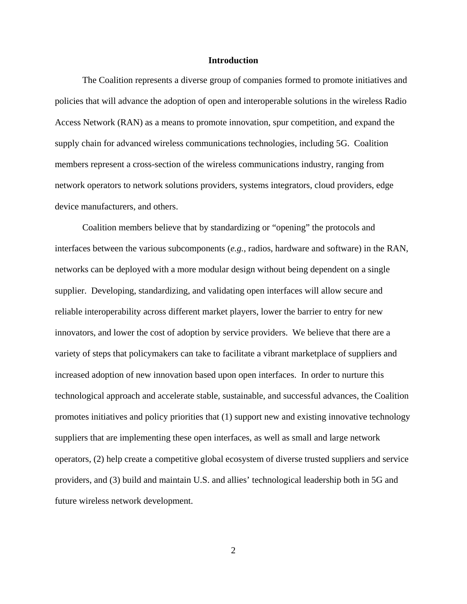#### **Introduction**

<span id="page-3-0"></span>The Coalition represents a diverse group of companies formed to promote initiatives and policies that will advance the adoption of open and interoperable solutions in the wireless Radio Access Network (RAN) as a means to promote innovation, spur competition, and expand the supply chain for advanced wireless communications technologies, including 5G. Coalition members represent a cross-section of the wireless communications industry, ranging from network operators to network solutions providers, systems integrators, cloud providers, edge device manufacturers, and others.

Coalition members believe that by standardizing or "opening" the protocols and interfaces between the various subcomponents (*e.g.*, radios, hardware and software) in the RAN, networks can be deployed with a more modular design without being dependent on a single supplier. Developing, standardizing, and validating open interfaces will allow secure and reliable interoperability across different market players, lower the barrier to entry for new innovators, and lower the cost of adoption by service providers. We believe that there are a variety of steps that policymakers can take to facilitate a vibrant marketplace of suppliers and increased adoption of new innovation based upon open interfaces. In order to nurture this technological approach and accelerate stable, sustainable, and successful advances, the Coalition promotes initiatives and policy priorities that (1) support new and existing innovative technology suppliers that are implementing these open interfaces, as well as small and large network operators, (2) help create a competitive global ecosystem of diverse trusted suppliers and service providers, and (3) build and maintain U.S. and allies' technological leadership both in 5G and future wireless network development.

2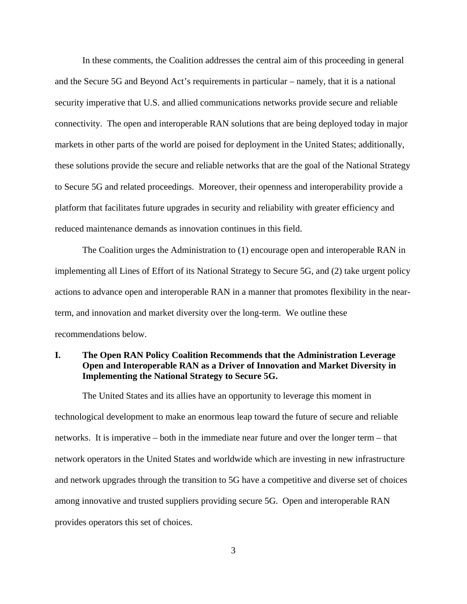In these comments, the Coalition addresses the central aim of this proceeding in general and the Secure 5G and Beyond Act's requirements in particular – namely, that it is a national security imperative that U.S. and allied communications networks provide secure and reliable connectivity. The open and interoperable RAN solutions that are being deployed today in major markets in other parts of the world are poised for deployment in the United States; additionally, these solutions provide the secure and reliable networks that are the goal of the National Strategy to Secure 5G and related proceedings. Moreover, their openness and interoperability provide a platform that facilitates future upgrades in security and reliability with greater efficiency and reduced maintenance demands as innovation continues in this field.

The Coalition urges the Administration to (1) encourage open and interoperable RAN in implementing all Lines of Effort of its National Strategy to Secure 5G, and (2) take urgent policy actions to advance open and interoperable RAN in a manner that promotes flexibility in the nearterm, and innovation and market diversity over the long-term. We outline these recommendations below.

# <span id="page-4-0"></span>**I. The Open RAN Policy Coalition Recommends that the Administration Leverage Open and Interoperable RAN as a Driver of Innovation and Market Diversity in Implementing the National Strategy to Secure 5G.**

The United States and its allies have an opportunity to leverage this moment in technological development to make an enormous leap toward the future of secure and reliable networks. It is imperative – both in the immediate near future and over the longer term – that network operators in the United States and worldwide which are investing in new infrastructure and network upgrades through the transition to 5G have a competitive and diverse set of choices among innovative and trusted suppliers providing secure 5G. Open and interoperable RAN provides operators this set of choices.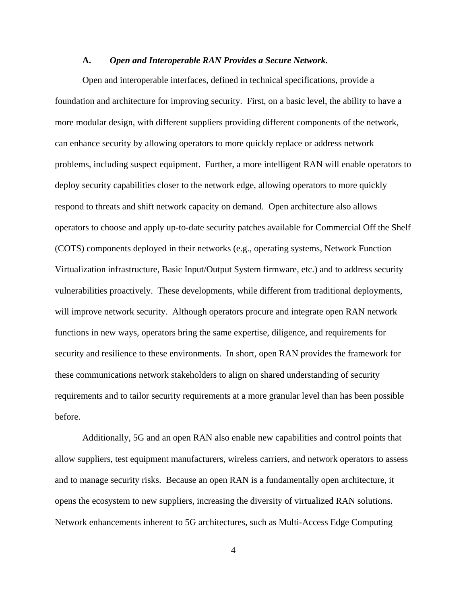#### **A.** *Open and Interoperable RAN Provides a Secure Network.*

<span id="page-5-0"></span>Open and interoperable interfaces, defined in technical specifications, provide a foundation and architecture for improving security. First, on a basic level, the ability to have a more modular design, with different suppliers providing different components of the network, can enhance security by allowing operators to more quickly replace or address network problems, including suspect equipment. Further, a more intelligent RAN will enable operators to deploy security capabilities closer to the network edge, allowing operators to more quickly respond to threats and shift network capacity on demand. Open architecture also allows operators to choose and apply up-to-date security patches available for Commercial Off the Shelf (COTS) components deployed in their networks (e.g., operating systems, Network Function Virtualization infrastructure, Basic Input/Output System firmware, etc.) and to address security vulnerabilities proactively. These developments, while different from traditional deployments, will improve network security. Although operators procure and integrate open RAN network functions in new ways, operators bring the same expertise, diligence, and requirements for security and resilience to these environments. In short, open RAN provides the framework for these communications network stakeholders to align on shared understanding of security requirements and to tailor security requirements at a more granular level than has been possible before.

Additionally, 5G and an open RAN also enable new capabilities and control points that allow suppliers, test equipment manufacturers, wireless carriers, and network operators to assess and to manage security risks. Because an open RAN is a fundamentally open architecture, it opens the ecosystem to new suppliers, increasing the diversity of virtualized RAN solutions. Network enhancements inherent to 5G architectures, such as Multi-Access Edge Computing

4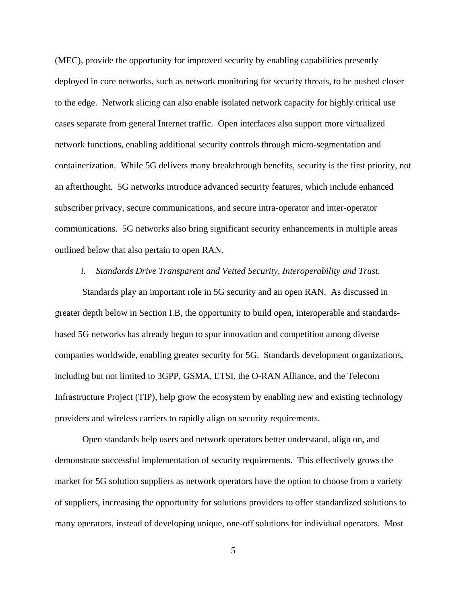(MEC), provide the opportunity for improved security by enabling capabilities presently deployed in core networks, such as network monitoring for security threats, to be pushed closer to the edge. Network slicing can also enable isolated network capacity for highly critical use cases separate from general Internet traffic. Open interfaces also support more virtualized network functions, enabling additional security controls through micro-segmentation and containerization. While 5G delivers many breakthrough benefits, security is the first priority, not an afterthought. 5G networks introduce advanced security features, which include enhanced subscriber privacy, secure communications, and secure intra-operator and inter-operator communications. 5G networks also bring significant security enhancements in multiple areas outlined below that also pertain to open RAN.

#### *i. Standards Drive Transparent and Vetted Security, Interoperability and Trust.*

<span id="page-6-0"></span>Standards play an important role in 5G security and an open RAN. As discussed in greater depth below in Section I.B, the opportunity to build open, interoperable and standardsbased 5G networks has already begun to spur innovation and competition among diverse companies worldwide, enabling greater security for 5G. Standards development organizations, including but not limited to 3GPP, GSMA, ETSI, the O-RAN Alliance, and the Telecom Infrastructure Project (TIP), help grow the ecosystem by enabling new and existing technology providers and wireless carriers to rapidly align on security requirements.

Open standards help users and network operators better understand, align on, and demonstrate successful implementation of security requirements. This effectively grows the market for 5G solution suppliers as network operators have the option to choose from a variety of suppliers, increasing the opportunity for solutions providers to offer standardized solutions to many operators, instead of developing unique, one-off solutions for individual operators. Most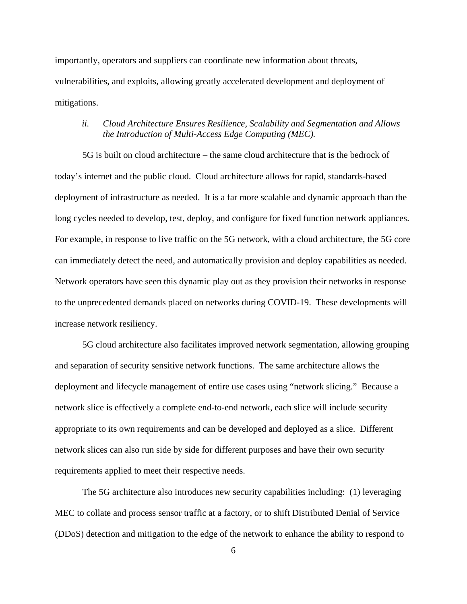importantly, operators and suppliers can coordinate new information about threats, vulnerabilities, and exploits, allowing greatly accelerated development and deployment of mitigations.

# <span id="page-7-0"></span>*ii. Cloud Architecture Ensures Resilience, Scalability and Segmentation and Allows the Introduction of Multi-Access Edge Computing (MEC).*

5G is built on cloud architecture – the same cloud architecture that is the bedrock of today's internet and the public cloud. Cloud architecture allows for rapid, standards-based deployment of infrastructure as needed. It is a far more scalable and dynamic approach than the long cycles needed to develop, test, deploy, and configure for fixed function network appliances. For example, in response to live traffic on the 5G network, with a cloud architecture, the 5G core can immediately detect the need, and automatically provision and deploy capabilities as needed. Network operators have seen this dynamic play out as they provision their networks in response to the unprecedented demands placed on networks during COVID-19. These developments will increase network resiliency.

5G cloud architecture also facilitates improved network segmentation, allowing grouping and separation of security sensitive network functions. The same architecture allows the deployment and lifecycle management of entire use cases using "network slicing." Because a network slice is effectively a complete end-to-end network, each slice will include security appropriate to its own requirements and can be developed and deployed as a slice. Different network slices can also run side by side for different purposes and have their own security requirements applied to meet their respective needs.

The 5G architecture also introduces new security capabilities including: (1) leveraging MEC to collate and process sensor traffic at a factory, or to shift Distributed Denial of Service (DDoS) detection and mitigation to the edge of the network to enhance the ability to respond to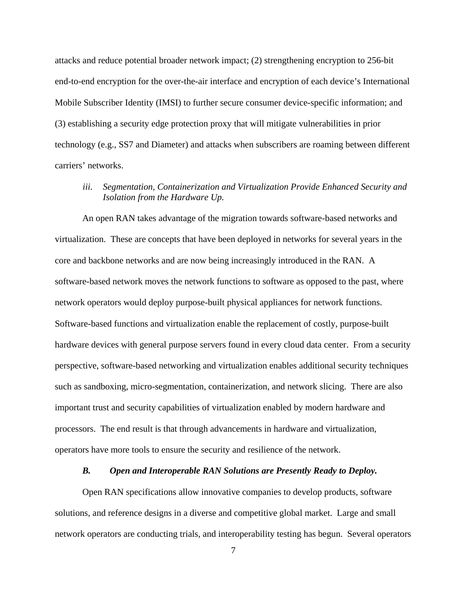attacks and reduce potential broader network impact; (2) strengthening encryption to 256-bit end-to-end encryption for the over-the-air interface and encryption of each device's International Mobile Subscriber Identity (IMSI) to further secure consumer device-specific information; and (3) establishing a security edge protection proxy that will mitigate vulnerabilities in prior technology (e.g., SS7 and Diameter) and attacks when subscribers are roaming between different carriers' networks.

# <span id="page-8-0"></span>*iii. Segmentation, Containerization and Virtualization Provide Enhanced Security and Isolation from the Hardware Up.*

An open RAN takes advantage of the migration towards software-based networks and virtualization. These are concepts that have been deployed in networks for several years in the core and backbone networks and are now being increasingly introduced in the RAN. A software-based network moves the network functions to software as opposed to the past, where network operators would deploy purpose-built physical appliances for network functions. Software-based functions and virtualization enable the replacement of costly, purpose-built hardware devices with general purpose servers found in every cloud data center. From a security perspective, software-based networking and virtualization enables additional security techniques such as sandboxing, micro-segmentation, containerization, and network slicing. There are also important trust and security capabilities of virtualization enabled by modern hardware and processors. The end result is that through advancements in hardware and virtualization, operators have more tools to ensure the security and resilience of the network.

# *B. Open and Interoperable RAN Solutions are Presently Ready to Deploy.*

<span id="page-8-1"></span>Open RAN specifications allow innovative companies to develop products, software solutions, and reference designs in a diverse and competitive global market. Large and small network operators are conducting trials, and interoperability testing has begun. Several operators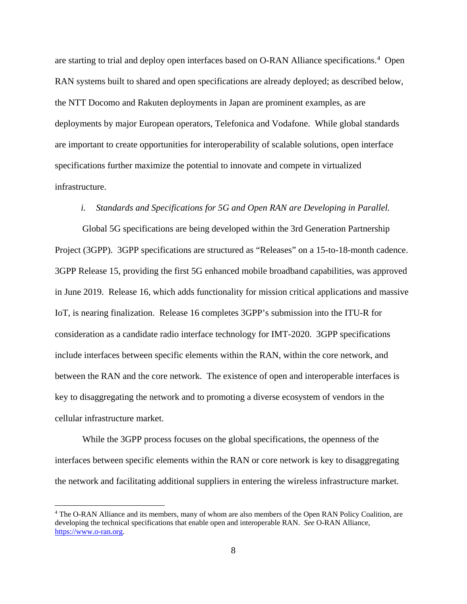are starting to trial and deploy open interfaces based on O-RAN Alliance specifications.<sup>[4](#page-9-1)</sup> Open RAN systems built to shared and open specifications are already deployed; as described below, the NTT Docomo and Rakuten deployments in Japan are prominent examples, as are deployments by major European operators, Telefonica and Vodafone. While global standards are important to create opportunities for interoperability of scalable solutions, open interface specifications further maximize the potential to innovate and compete in virtualized infrastructure.

#### *i. Standards and Specifications for 5G and Open RAN are Developing in Parallel.*

<span id="page-9-0"></span>Global 5G specifications are being developed within the 3rd Generation Partnership Project (3GPP). 3GPP specifications are structured as "Releases" on a 15-to-18-month cadence. 3GPP Release 15, providing the first 5G enhanced mobile broadband capabilities, was approved in June 2019. Release 16, which adds functionality for mission critical applications and massive IoT, is nearing finalization. Release 16 completes 3GPP's submission into the ITU-R for consideration as a candidate radio interface technology for IMT-2020. 3GPP specifications include interfaces between specific elements within the RAN, within the core network, and between the RAN and the core network. The existence of open and interoperable interfaces is key to disaggregating the network and to promoting a diverse ecosystem of vendors in the cellular infrastructure market.

While the 3GPP process focuses on the global specifications, the openness of the interfaces between specific elements within the RAN or core network is key to disaggregating the network and facilitating additional suppliers in entering the wireless infrastructure market.

<span id="page-9-1"></span> <sup>4</sup> The O-RAN Alliance and its members, many of whom are also members of the Open RAN Policy Coalition, are developing the technical specifications that enable open and interoperable RAN. *See* O-RAN Alliance, [https://www.o-ran.org.](https://www.o-ran.org/)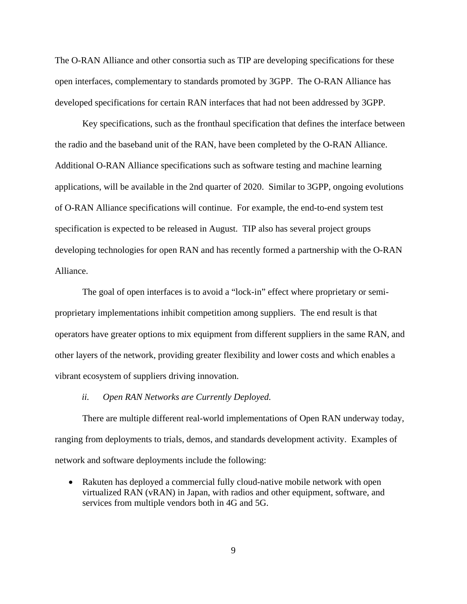The O-RAN Alliance and other consortia such as TIP are developing specifications for these open interfaces, complementary to standards promoted by 3GPP. The O-RAN Alliance has developed specifications for certain RAN interfaces that had not been addressed by 3GPP.

Key specifications, such as the fronthaul specification that defines the interface between the radio and the baseband unit of the RAN, have been completed by the O-RAN Alliance. Additional O-RAN Alliance specifications such as software testing and machine learning applications, will be available in the 2nd quarter of 2020. Similar to 3GPP, ongoing evolutions of O-RAN Alliance specifications will continue. For example, the end-to-end system test specification is expected to be released in August. TIP also has several project groups developing technologies for open RAN and has recently formed a partnership with the O-RAN Alliance.

The goal of open interfaces is to avoid a "lock-in" effect where proprietary or semiproprietary implementations inhibit competition among suppliers. The end result is that operators have greater options to mix equipment from different suppliers in the same RAN, and other layers of the network, providing greater flexibility and lower costs and which enables a vibrant ecosystem of suppliers driving innovation.

#### *ii. Open RAN Networks are Currently Deployed.*

<span id="page-10-0"></span>There are multiple different real-world implementations of Open RAN underway today, ranging from deployments to trials, demos, and standards development activity. Examples of network and software deployments include the following:

• Rakuten has deployed a commercial fully cloud-native mobile network with open virtualized RAN (vRAN) in Japan, with radios and other equipment, software, and services from multiple vendors both in 4G and 5G.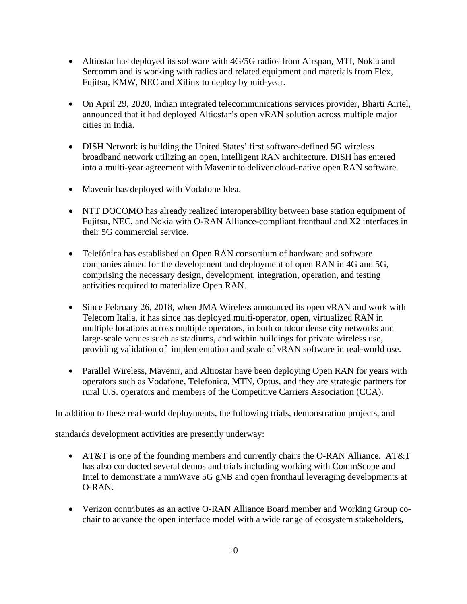- Altiostar has deployed its software with 4G/5G radios from Airspan, MTI, Nokia and Sercomm and is working with radios and related equipment and materials from Flex, Fujitsu, KMW, NEC and Xilinx to deploy by mid-year.
- On April 29, 2020, Indian integrated telecommunications services provider, Bharti Airtel, announced that it had deployed Altiostar's open vRAN solution across multiple major cities in India.
- DISH Network is building the United States' first software-defined 5G wireless broadband network utilizing an open, intelligent RAN architecture. DISH has entered into a multi-year agreement with Mavenir to deliver cloud-native open RAN software.
- Mavenir has deployed with Vodafone Idea.
- NTT DOCOMO has already realized interoperability between base station equipment of Fujitsu, NEC, and Nokia with O-RAN Alliance-compliant fronthaul and X2 interfaces in their 5G commercial service.
- Telefónica has established an Open RAN consortium of hardware and software companies aimed for the development and deployment of open RAN in 4G and 5G, comprising the necessary design, development, integration, operation, and testing activities required to materialize Open RAN.
- Since February 26, 2018, when JMA Wireless announced its open vRAN and work with Telecom Italia, it has since has deployed multi-operator, open, virtualized RAN in multiple locations across multiple operators, in both outdoor dense city networks and large-scale venues such as stadiums, and within buildings for private wireless use, providing validation of implementation and scale of vRAN software in real-world use.
- Parallel Wireless, Mavenir, and Altiostar have been deploying Open RAN for years with operators such as Vodafone, Telefonica, MTN, Optus, and they are strategic partners for rural U.S. operators and members of the Competitive Carriers Association (CCA).

In addition to these real-world deployments, the following trials, demonstration projects, and

standards development activities are presently underway:

- AT&T is one of the founding members and currently chairs the O-RAN Alliance. AT&T has also conducted several demos and trials including working with CommScope and Intel to demonstrate a mmWave 5G gNB and open fronthaul leveraging developments at O-RAN.
- Verizon contributes as an active O-RAN Alliance Board member and Working Group cochair to advance the open interface model with a wide range of ecosystem stakeholders,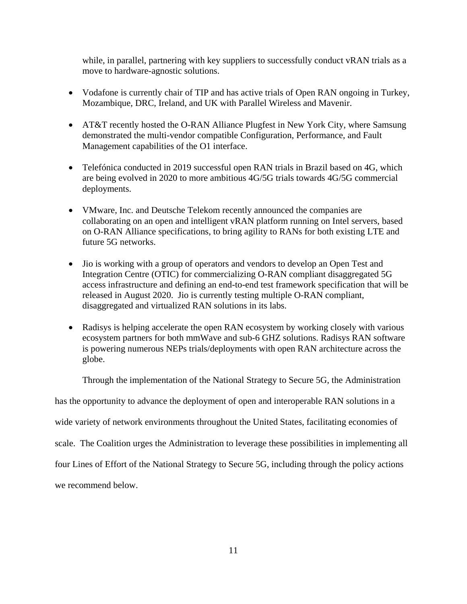while, in parallel, partnering with key suppliers to successfully conduct vRAN trials as a move to hardware-agnostic solutions.

- Vodafone is currently chair of TIP and has active trials of Open RAN ongoing in Turkey, Mozambique, DRC, Ireland, and UK with Parallel Wireless and Mavenir.
- AT&T recently hosted the O-RAN Alliance Plugfest in New York City, where Samsung demonstrated the multi-vendor compatible Configuration, Performance, and Fault Management capabilities of the O1 interface.
- Telefónica conducted in 2019 successful open RAN trials in Brazil based on 4G, which are being evolved in 2020 to more ambitious 4G/5G trials towards 4G/5G commercial deployments.
- VMware, Inc. and Deutsche Telekom recently announced the companies are collaborating on an open and intelligent vRAN platform running on Intel servers, based on O-RAN Alliance specifications, to bring agility to RANs for both existing LTE and future 5G networks.
- Jio is working with a group of operators and vendors to develop an Open Test and Integration Centre (OTIC) for commercializing O-RAN compliant disaggregated 5G access infrastructure and defining an end-to-end test framework specification that will be released in August 2020. Jio is currently testing multiple O-RAN compliant, disaggregated and virtualized RAN solutions in its labs.
- Radisys is helping accelerate the open RAN ecosystem by working closely with various ecosystem partners for both mmWave and sub-6 GHZ solutions. Radisys RAN software is powering numerous NEPs trials/deployments with open RAN architecture across the globe.

Through the implementation of the National Strategy to Secure 5G, the Administration

has the opportunity to advance the deployment of open and interoperable RAN solutions in a

wide variety of network environments throughout the United States, facilitating economies of

scale. The Coalition urges the Administration to leverage these possibilities in implementing all

four Lines of Effort of the National Strategy to Secure 5G, including through the policy actions

we recommend below.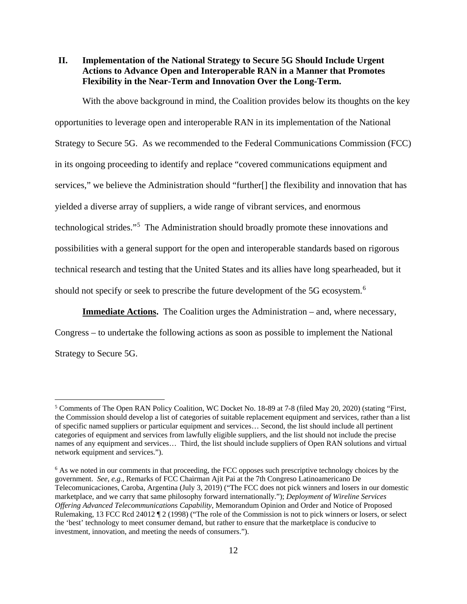<span id="page-13-0"></span>**II. Implementation of the National Strategy to Secure 5G Should Include Urgent Actions to Advance Open and Interoperable RAN in a Manner that Promotes Flexibility in the Near-Term and Innovation Over the Long-Term.**

With the above background in mind, the Coalition provides below its thoughts on the key opportunities to leverage open and interoperable RAN in its implementation of the National Strategy to Secure 5G. As we recommended to the Federal Communications Commission (FCC) in its ongoing proceeding to identify and replace "covered communications equipment and services," we believe the Administration should "further<sup>[]</sup> the flexibility and innovation that has yielded a diverse array of suppliers, a wide range of vibrant services, and enormous technological strides."[5](#page-13-1) The Administration should broadly promote these innovations and possibilities with a general support for the open and interoperable standards based on rigorous technical research and testing that the United States and its allies have long spearheaded, but it should not specify or seek to prescribe the future development of the 5G ecosystem.<sup>[6](#page-13-2)</sup>

**Immediate Actions.** The Coalition urges the Administration – and, where necessary,

Congress – to undertake the following actions as soon as possible to implement the National Strategy to Secure 5G.

<span id="page-13-1"></span> <sup>5</sup> Comments of The Open RAN Policy Coalition, WC Docket No. 18-89 at 7-8 (filed May 20, 2020) (stating "First, the Commission should develop a list of categories of suitable replacement equipment and services, rather than a list of specific named suppliers or particular equipment and services… Second, the list should include all pertinent categories of equipment and services from lawfully eligible suppliers, and the list should not include the precise names of any equipment and services… Third, the list should include suppliers of Open RAN solutions and virtual network equipment and services.").

<span id="page-13-2"></span><sup>&</sup>lt;sup>6</sup> As we noted in our comments in that proceeding, the FCC opposes such prescriptive technology choices by the government. *See, e.g.*, Remarks of FCC Chairman Ajit Pai at the 7th Congreso Latinoamericano De Telecomunicaciones, Caroba, Argentina (July 3, 2019) ("The FCC does not pick winners and losers in our domestic marketplace, and we carry that same philosophy forward internationally."); *Deployment of Wireline Services Offering Advanced Telecommunications Capability*, Memorandum Opinion and Order and Notice of Proposed Rulemaking, 13 FCC Rcd 24012 ¶ 2 (1998) ("The role of the Commission is not to pick winners or losers, or select the 'best' technology to meet consumer demand, but rather to ensure that the marketplace is conducive to investment, innovation, and meeting the needs of consumers.").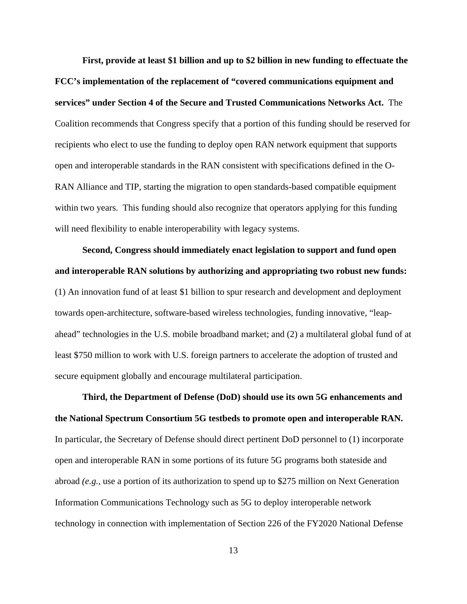**First, provide at least \$1 billion and up to \$2 billion in new funding to effectuate the FCC's implementation of the replacement of "covered communications equipment and services" under Section 4 of the Secure and Trusted Communications Networks Act.** The Coalition recommends that Congress specify that a portion of this funding should be reserved for recipients who elect to use the funding to deploy open RAN network equipment that supports open and interoperable standards in the RAN consistent with specifications defined in the O-RAN Alliance and TIP, starting the migration to open standards-based compatible equipment within two years. This funding should also recognize that operators applying for this funding will need flexibility to enable interoperability with legacy systems.

**Second, Congress should immediately enact legislation to support and fund open and interoperable RAN solutions by authorizing and appropriating two robust new funds:** (1) An innovation fund of at least \$1 billion to spur research and development and deployment towards open-architecture, software-based wireless technologies, funding innovative, "leapahead" technologies in the U.S. mobile broadband market; and (2) a multilateral global fund of at least \$750 million to work with U.S. foreign partners to accelerate the adoption of trusted and secure equipment globally and encourage multilateral participation.

**Third, the Department of Defense (DoD) should use its own 5G enhancements and the National Spectrum Consortium 5G testbeds to promote open and interoperable RAN.** In particular, the Secretary of Defense should direct pertinent DoD personnel to (1) incorporate open and interoperable RAN in some portions of its future 5G programs both stateside and abroad *(e.g.,* use a portion of its authorization to spend up to \$275 million on Next Generation Information Communications Technology such as 5G to deploy interoperable network technology in connection with implementation of Section 226 of the FY2020 National Defense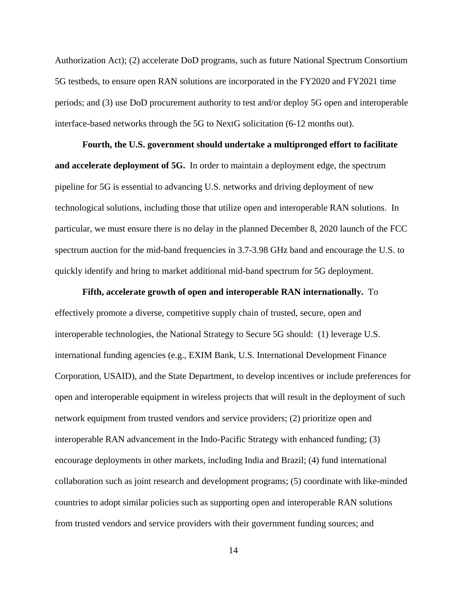Authorization Act); (2) accelerate DoD programs, such as future National Spectrum Consortium 5G testbeds, to ensure open RAN solutions are incorporated in the FY2020 and FY2021 time periods; and (3) use DoD procurement authority to test and/or deploy 5G open and interoperable interface-based networks through the 5G to NextG solicitation (6-12 months out).

**Fourth, the U.S. government should undertake a multipronged effort to facilitate and accelerate deployment of 5G.** In order to maintain a deployment edge, the spectrum pipeline for 5G is essential to advancing U.S. networks and driving deployment of new technological solutions, including those that utilize open and interoperable RAN solutions. In particular, we must ensure there is no delay in the planned December 8, 2020 launch of the FCC spectrum auction for the mid-band frequencies in 3.7-3.98 GHz band and encourage the U.S. to quickly identify and bring to market additional mid-band spectrum for 5G deployment.

**Fifth, accelerate growth of open and interoperable RAN internationally.** To effectively promote a diverse, competitive supply chain of trusted, secure, open and interoperable technologies, the National Strategy to Secure 5G should: (1) leverage U.S. international funding agencies (e.g., EXIM Bank, U.S. International Development Finance Corporation, USAID), and the State Department, to develop incentives or include preferences for open and interoperable equipment in wireless projects that will result in the deployment of such network equipment from trusted vendors and service providers; (2) prioritize open and interoperable RAN advancement in the Indo-Pacific Strategy with enhanced funding; (3) encourage deployments in other markets, including India and Brazil; (4) fund international collaboration such as joint research and development programs; (5) coordinate with like-minded countries to adopt similar policies such as supporting open and interoperable RAN solutions from trusted vendors and service providers with their government funding sources; and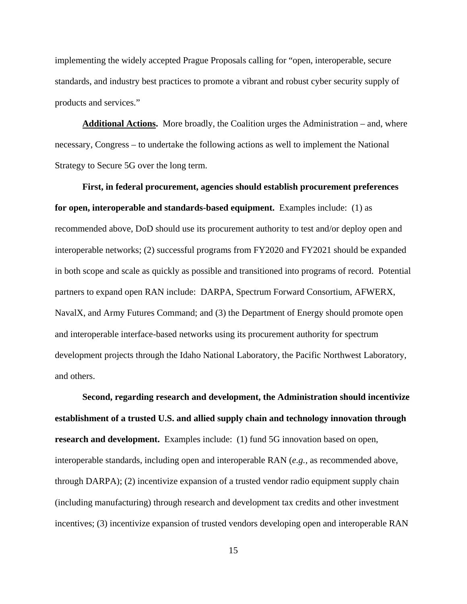implementing the widely accepted Prague Proposals calling for "open, interoperable, secure standards, and industry best practices to promote a vibrant and robust cyber security supply of products and services."

**Additional Actions.** More broadly, the Coalition urges the Administration – and, where necessary, Congress – to undertake the following actions as well to implement the National Strategy to Secure 5G over the long term.

**First, in federal procurement, agencies should establish procurement preferences for open, interoperable and standards-based equipment.** Examples include: (1) as recommended above, DoD should use its procurement authority to test and/or deploy open and interoperable networks; (2) successful programs from FY2020 and FY2021 should be expanded in both scope and scale as quickly as possible and transitioned into programs of record. Potential partners to expand open RAN include: DARPA, Spectrum Forward Consortium, AFWERX, NavalX, and Army Futures Command; and (3) the Department of Energy should promote open and interoperable interface-based networks using its procurement authority for spectrum development projects through the Idaho National Laboratory, the Pacific Northwest Laboratory, and others.

**Second, regarding research and development, the Administration should incentivize establishment of a trusted U.S. and allied supply chain and technology innovation through research and development.** Examples include: (1) fund 5G innovation based on open, interoperable standards, including open and interoperable RAN (*e.g.,* as recommended above, through DARPA); (2) incentivize expansion of a trusted vendor radio equipment supply chain (including manufacturing) through research and development tax credits and other investment incentives; (3) incentivize expansion of trusted vendors developing open and interoperable RAN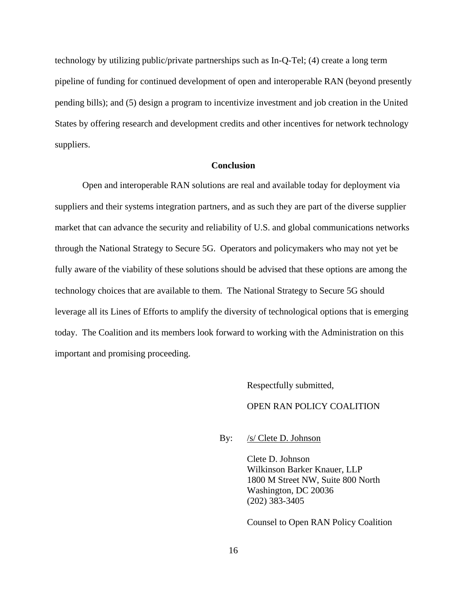technology by utilizing public/private partnerships such as In-Q-Tel; (4) create a long term pipeline of funding for continued development of open and interoperable RAN (beyond presently pending bills); and (5) design a program to incentivize investment and job creation in the United States by offering research and development credits and other incentives for network technology suppliers.

#### **Conclusion**

<span id="page-17-0"></span>Open and interoperable RAN solutions are real and available today for deployment via suppliers and their systems integration partners, and as such they are part of the diverse supplier market that can advance the security and reliability of U.S. and global communications networks through the National Strategy to Secure 5G. Operators and policymakers who may not yet be fully aware of the viability of these solutions should be advised that these options are among the technology choices that are available to them. The National Strategy to Secure 5G should leverage all its Lines of Efforts to amplify the diversity of technological options that is emerging today. The Coalition and its members look forward to working with the Administration on this important and promising proceeding.

> Respectfully submitted, OPEN RAN POLICY COALITION

By: /s/ Clete D. Johnson

Clete D. Johnson Wilkinson Barker Knauer, LLP 1800 M Street NW, Suite 800 North Washington, DC 20036 (202) 383-3405

Counsel to Open RAN Policy Coalition